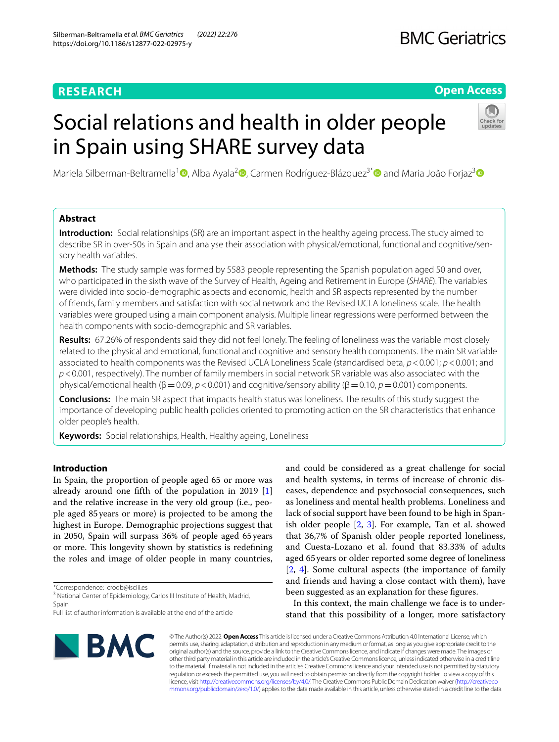# **RESEARCH**

# **BMC Geriatrics**

# **Open Access**

# Social relations and health in older people in Spain using SHARE survey data



Mariela Silberman-Beltramella<sup>1</sup> D[,](https://orcid.org/0000-0003-4855-4443) Alba Ayala<sup>2</sup> D, Carmen Rodríguez-Blázquez<sup>3[\\*](https://orcid.org/0000-0003-3829-0675)</sup> D and Maria João Forjaz<sup>[3](https://orcid.org/0000-0003-3935-962X)</sup> D

# **Abstract**

**Introduction:** Social relationships (SR) are an important aspect in the healthy ageing process. The study aimed to describe SR in over-50s in Spain and analyse their association with physical/emotional, functional and cognitive/sensory health variables.

**Methods:** The study sample was formed by 5583 people representing the Spanish population aged 50 and over, who participated in the sixth wave of the Survey of Health, Ageing and Retirement in Europe (*SHARE*). The variables were divided into socio-demographic aspects and economic, health and SR aspects represented by the number of friends, family members and satisfaction with social network and the Revised UCLA loneliness scale. The health variables were grouped using a main component analysis. Multiple linear regressions were performed between the health components with socio-demographic and SR variables.

**Results:** 67.26% of respondents said they did not feel lonely. The feeling of loneliness was the variable most closely related to the physical and emotional, functional and cognitive and sensory health components. The main SR variable associated to health components was the Revised UCLA Loneliness Scale (standardised beta, *p*<0.001; *p*<0.001; and *p*<0.001, respectively). The number of family members in social network SR variable was also associated with the physical/emotional health (β=0.09, *p*<0.001) and cognitive/sensory ability (β=0.10, *p*=0.001) components.

**Conclusions:** The main SR aspect that impacts health status was loneliness. The results of this study suggest the importance of developing public health policies oriented to promoting action on the SR characteristics that enhance older people's health.

**Keywords:** Social relationships, Health, Healthy ageing, Loneliness

# **Introduction**

In Spain, the proportion of people aged 65 or more was already around one ffth of the population in 2019 [\[1](#page-7-0)] and the relative increase in the very old group (i.e., people aged 85years or more) is projected to be among the highest in Europe. Demographic projections suggest that in 2050, Spain will surpass 36% of people aged 65 years or more. This longevity shown by statistics is redefining the roles and image of older people in many countries,

\*Correspondence: crodb@isciii.es

<sup>3</sup> National Center of Epidemiology, Carlos III Institute of Health, Madrid, Spain

and could be considered as a great challenge for social and health systems, in terms of increase of chronic diseases, dependence and psychosocial consequences, such as loneliness and mental health problems. Loneliness and lack of social support have been found to be high in Spanish older people [\[2,](#page-7-1) [3](#page-7-2)]. For example, Tan et al. showed that 36,7% of Spanish older people reported loneliness, and Cuesta-Lozano et al. found that 83.33% of adults aged 65years or older reported some degree of loneliness [[2,](#page-7-1) [4\]](#page-7-3). Some cultural aspects (the importance of family and friends and having a close contact with them), have been suggested as an explanation for these fgures.

In this context, the main challenge we face is to understand that this possibility of a longer, more satisfactory



© The Author(s) 2022. **Open Access** This article is licensed under a Creative Commons Attribution 4.0 International License, which permits use, sharing, adaptation, distribution and reproduction in any medium or format, as long as you give appropriate credit to the original author(s) and the source, provide a link to the Creative Commons licence, and indicate if changes were made. The images or other third party material in this article are included in the article's Creative Commons licence, unless indicated otherwise in a credit line to the material. If material is not included in the article's Creative Commons licence and your intended use is not permitted by statutory regulation or exceeds the permitted use, you will need to obtain permission directly from the copyright holder. To view a copy of this licence, visit [http://creativecommons.org/licenses/by/4.0/.](http://creativecommons.org/licenses/by/4.0/) The Creative Commons Public Domain Dedication waiver ([http://creativeco](http://creativecommons.org/publicdomain/zero/1.0/) [mmons.org/publicdomain/zero/1.0/](http://creativecommons.org/publicdomain/zero/1.0/)) applies to the data made available in this article, unless otherwise stated in a credit line to the data.

Full list of author information is available at the end of the article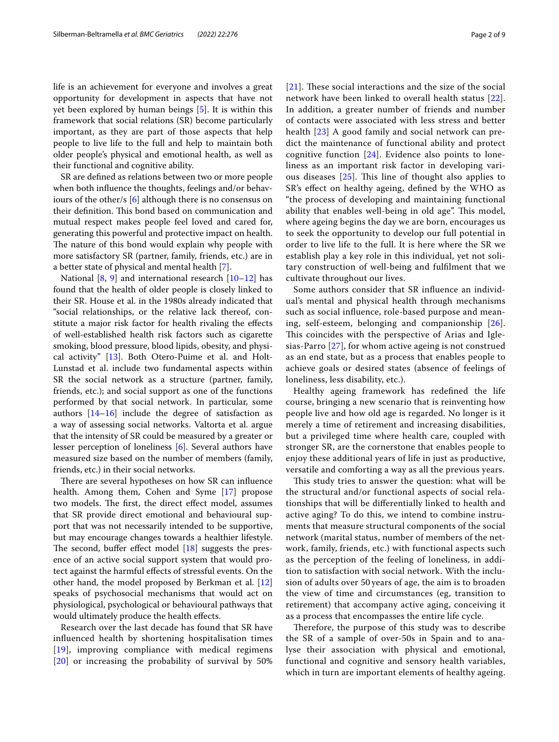life is an achievement for everyone and involves a great opportunity for development in aspects that have not yet been explored by human beings [[5](#page-7-4)]. It is within this framework that social relations (SR) become particularly important, as they are part of those aspects that help people to live life to the full and help to maintain both older people's physical and emotional health, as well as their functional and cognitive ability.

SR are defned as relations between two or more people when both infuence the thoughts, feelings and/or behaviours of the other/s [[6\]](#page-7-5) although there is no consensus on their definition. This bond based on communication and mutual respect makes people feel loved and cared for, generating this powerful and protective impact on health. The nature of this bond would explain why people with more satisfactory SR (partner, family, friends, etc.) are in a better state of physical and mental health [[7](#page-7-6)].

National  $[8, 9]$  $[8, 9]$  $[8, 9]$  $[8, 9]$  $[8, 9]$  and international research  $[10-12]$  $[10-12]$  $[10-12]$  has found that the health of older people is closely linked to their SR. House et al. in the 1980s already indicated that "social relationships, or the relative lack thereof, constitute a major risk factor for health rivaling the efects of well-established health risk factors such as cigarette smoking, blood pressure, blood lipids, obesity, and physical activity" [[13\]](#page-7-11). Both Otero-Puime et al. and Holt-Lunstad et al. include two fundamental aspects within SR the social network as a structure (partner, family, friends, etc.); and social support as one of the functions performed by that social network. In particular, some authors [\[14](#page-7-12)[–16\]](#page-7-13) include the degree of satisfaction as a way of assessing social networks. Valtorta et al. argue that the intensity of SR could be measured by a greater or lesser perception of loneliness [[6\]](#page-7-5). Several authors have measured size based on the number of members (family, friends, etc.) in their social networks.

There are several hypotheses on how SR can influence health. Among them, Cohen and Syme [\[17\]](#page-7-14) propose two models. The first, the direct effect model, assumes that SR provide direct emotional and behavioural support that was not necessarily intended to be supportive, but may encourage changes towards a healthier lifestyle. The second, buffer effect model  $[18]$  $[18]$  suggests the presence of an active social support system that would protect against the harmful efects of stressful events. On the other hand, the model proposed by Berkman et al. [[12](#page-7-10)] speaks of psychosocial mechanisms that would act on physiological, psychological or behavioural pathways that would ultimately produce the health effects.

Research over the last decade has found that SR have infuenced health by shortening hospitalisation times [[19](#page-7-16)], improving compliance with medical regimens [[20](#page-7-17)] or increasing the probability of survival by 50%  $[21]$  $[21]$  $[21]$ . These social interactions and the size of the social network have been linked to overall health status [[22](#page-7-19)]. In addition, a greater number of friends and number of contacts were associated with less stress and better health [[23\]](#page-7-20) A good family and social network can predict the maintenance of functional ability and protect cognitive function  $[24]$  $[24]$ . Evidence also points to loneliness as an important risk factor in developing various diseases  $[25]$  $[25]$  $[25]$ . This line of thought also applies to SR's efect on healthy ageing, defned by the WHO as "the process of developing and maintaining functional ability that enables well-being in old age". This model, where ageing begins the day we are born, encourages us to seek the opportunity to develop our full potential in order to live life to the full. It is here where the SR we establish play a key role in this individual, yet not solitary construction of well-being and fulflment that we cultivate throughout our lives.

Some authors consider that SR infuence an individual's mental and physical health through mechanisms such as social infuence, role-based purpose and meaning, self-esteem, belonging and companionship [[26](#page-7-23)]. This coincides with the perspective of Arias and Iglesias-Parro [[27](#page-7-24)], for whom active ageing is not construed as an end state, but as a process that enables people to achieve goals or desired states (absence of feelings of loneliness, less disability, etc.).

Healthy ageing framework has redefned the life course, bringing a new scenario that is reinventing how people live and how old age is regarded. No longer is it merely a time of retirement and increasing disabilities, but a privileged time where health care, coupled with stronger SR, are the cornerstone that enables people to enjoy these additional years of life in just as productive, versatile and comforting a way as all the previous years.

This study tries to answer the question: what will be the structural and/or functional aspects of social relationships that will be diferentially linked to health and active aging? To do this, we intend to combine instruments that measure structural components of the social network (marital status, number of members of the network, family, friends, etc.) with functional aspects such as the perception of the feeling of loneliness, in addition to satisfaction with social network. With the inclusion of adults over 50 years of age, the aim is to broaden the view of time and circumstances (eg, transition to retirement) that accompany active aging, conceiving it as a process that encompasses the entire life cycle.

Therefore, the purpose of this study was to describe the SR of a sample of over-50s in Spain and to analyse their association with physical and emotional, functional and cognitive and sensory health variables, which in turn are important elements of healthy ageing.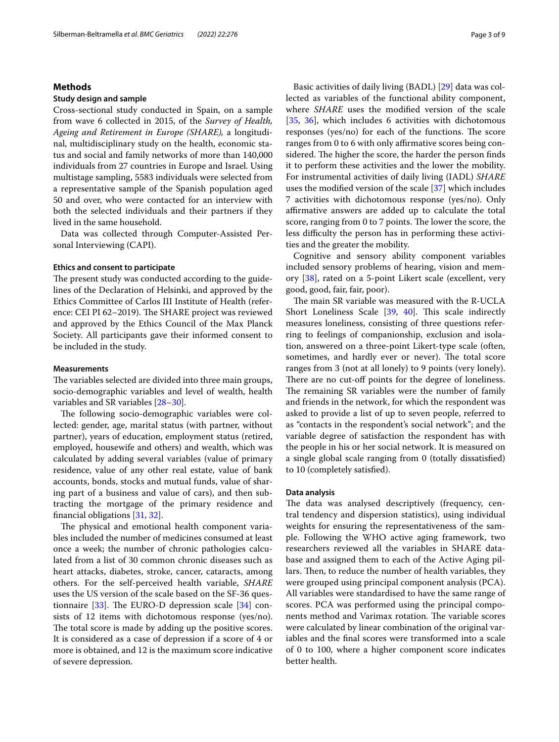# **Methods**

# **Study design and sample**

Cross-sectional study conducted in Spain, on a sample from wave 6 collected in 2015, of the *Survey of Health, Ageing and Retirement in Europe (SHARE),* a longitudinal, multidisciplinary study on the health, economic status and social and family networks of more than 140,000 individuals from 27 countries in Europe and Israel. Using multistage sampling, 5583 individuals were selected from a representative sample of the Spanish population aged 50 and over, who were contacted for an interview with both the selected individuals and their partners if they lived in the same household.

Data was collected through Computer-Assisted Personal Interviewing (CAPI).

# **Ethics and consent to participate**

The present study was conducted according to the guidelines of the Declaration of Helsinki, and approved by the Ethics Committee of Carlos III Institute of Health (reference: CEI PI 62-2019). The SHARE project was reviewed and approved by the Ethics Council of the Max Planck Society. All participants gave their informed consent to be included in the study.

# **Measurements**

The variables selected are divided into three main groups, socio-demographic variables and level of wealth, health variables and SR variables [\[28](#page-7-25)[–30](#page-7-26)].

The following socio-demographic variables were collected: gender, age, marital status (with partner, without partner), years of education, employment status (retired, employed, housewife and others) and wealth, which was calculated by adding several variables (value of primary residence, value of any other real estate, value of bank accounts, bonds, stocks and mutual funds, value of sharing part of a business and value of cars), and then subtracting the mortgage of the primary residence and fnancial obligations [\[31](#page-7-27), [32\]](#page-7-28).

The physical and emotional health component variables included the number of medicines consumed at least once a week; the number of chronic pathologies calculated from a list of 30 common chronic diseases such as heart attacks, diabetes, stroke, cancer, cataracts, among others. For the self-perceived health variable, *SHARE* uses the US version of the scale based on the SF-36 questionnaire  $[33]$  $[33]$ . The EURO-D depression scale  $[34]$  consists of 12 items with dichotomous response (yes/no). The total score is made by adding up the positive scores. It is considered as a case of depression if a score of 4 or more is obtained, and 12 is the maximum score indicative of severe depression.

Basic activities of daily living (BADL) [[29\]](#page-7-31) data was collected as variables of the functional ability component, where *SHARE* uses the modifed version of the scale [[35,](#page-7-32) [36](#page-7-33)], which includes 6 activities with dichotomous responses ( $yes/no)$  for each of the functions. The score ranges from 0 to 6 with only affirmative scores being considered. The higher the score, the harder the person finds it to perform these activities and the lower the mobility. For instrumental activities of daily living (IADL) *SHARE* uses the modifed version of the scale [\[37](#page-7-34)] which includes 7 activities with dichotomous response (yes/no). Only afrmative answers are added up to calculate the total score, ranging from 0 to 7 points. The lower the score, the less difficulty the person has in performing these activities and the greater the mobility.

Cognitive and sensory ability component variables included sensory problems of hearing, vision and memory [\[38\]](#page-8-0), rated on a 5-point Likert scale (excellent, very good, good, fair, fair, poor).

The main SR variable was measured with the R-UCLA Short Loneliness Scale  $[39, 40]$  $[39, 40]$  $[39, 40]$ . This scale indirectly measures loneliness, consisting of three questions referring to feelings of companionship, exclusion and isolation, answered on a three-point Likert-type scale (often, sometimes, and hardly ever or never). The total score ranges from 3 (not at all lonely) to 9 points (very lonely). There are no cut-off points for the degree of loneliness. The remaining SR variables were the number of family and friends in the network, for which the respondent was asked to provide a list of up to seven people, referred to as "contacts in the respondent's social network"; and the variable degree of satisfaction the respondent has with the people in his or her social network. It is measured on a single global scale ranging from 0 (totally dissatisfed) to 10 (completely satisfed).

# **Data analysis**

The data was analysed descriptively (frequency, central tendency and dispersion statistics), using individual weights for ensuring the representativeness of the sample. Following the WHO active aging framework, two researchers reviewed all the variables in SHARE database and assigned them to each of the Active Aging pillars. Then, to reduce the number of health variables, they were grouped using principal component analysis (PCA). All variables were standardised to have the same range of scores. PCA was performed using the principal components method and Varimax rotation. The variable scores were calculated by linear combination of the original variables and the fnal scores were transformed into a scale of 0 to 100, where a higher component score indicates better health.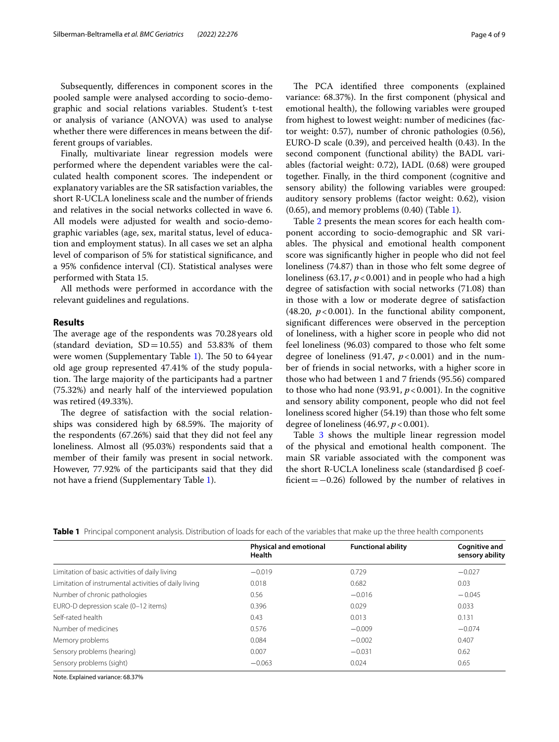Subsequently, diferences in component scores in the pooled sample were analysed according to socio-demographic and social relations variables. Student's t-test or analysis of variance (ANOVA) was used to analyse whether there were diferences in means between the different groups of variables.

Finally, multivariate linear regression models were performed where the dependent variables were the calculated health component scores. The independent or explanatory variables are the SR satisfaction variables, the short R-UCLA loneliness scale and the number of friends and relatives in the social networks collected in wave 6. All models were adjusted for wealth and socio-demographic variables (age, sex, marital status, level of education and employment status). In all cases we set an alpha level of comparison of 5% for statistical signifcance, and a 95% confdence interval (CI). Statistical analyses were performed with Stata 15.

All methods were performed in accordance with the relevant guidelines and regulations.

# **Results**

The average age of the respondents was 70.28 years old (standard deviation,  $SD = 10.55$ ) and 53.83% of them were women (Supplementary Table [1](#page-6-0)). The 50 to 64 year old age group represented 47.41% of the study population. The large majority of the participants had a partner (75.32%) and nearly half of the interviewed population was retired (49.33%).

The degree of satisfaction with the social relationships was considered high by 68.59%. The majority of the respondents (67.26%) said that they did not feel any loneliness. Almost all (95.03%) respondents said that a member of their family was present in social network. However, 77.92% of the participants said that they did not have a friend (Supplementary Table [1\)](#page-6-0).

The PCA identified three components (explained variance: 68.37%). In the frst component (physical and emotional health), the following variables were grouped from highest to lowest weight: number of medicines (factor weight: 0.57), number of chronic pathologies (0.56), EURO-D scale (0.39), and perceived health (0.43). In the second component (functional ability) the BADL variables (factorial weight: 0.72), IADL (0.68) were grouped together. Finally, in the third component (cognitive and sensory ability) the following variables were grouped: auditory sensory problems (factor weight: 0.62), vision  $(0.65)$ , and memory problems  $(0.40)$  (Table [1](#page-3-0)).

Table [2](#page-4-0) presents the mean scores for each health component according to socio-demographic and SR variables. The physical and emotional health component score was signifcantly higher in people who did not feel loneliness (74.87) than in those who felt some degree of loneliness (63.17,  $p < 0.001$ ) and in people who had a high degree of satisfaction with social networks (71.08) than in those with a low or moderate degree of satisfaction (48.20,  $p < 0.001$ ). In the functional ability component, signifcant diferences were observed in the perception of loneliness, with a higher score in people who did not feel loneliness (96.03) compared to those who felt some degree of loneliness  $(91.47, p<0.001)$  and in the number of friends in social networks, with a higher score in those who had between 1 and 7 friends (95.56) compared to those who had none (93.91,  $p < 0.001$ ). In the cognitive and sensory ability component, people who did not feel loneliness scored higher (54.19) than those who felt some degree of loneliness (46.97, *p*<0.001).

Table [3](#page-4-1) shows the multiple linear regression model of the physical and emotional health component. The main SR variable associated with the component was the short R-UCLA loneliness scale (standardised β coeffcient=−0.26) followed by the number of relatives in

|                                                       | <b>Physical and emotional</b><br>Health | <b>Functional ability</b> | <b>Cognitive and</b><br>sensory ability |  |
|-------------------------------------------------------|-----------------------------------------|---------------------------|-----------------------------------------|--|
|                                                       |                                         |                           |                                         |  |
| Limitation of basic activities of daily living        | $-0.019$                                | 0.729                     | $-0.027$                                |  |
| Limitation of instrumental activities of daily living | 0.018                                   | 0.682                     | 0.03                                    |  |
| Number of chronic pathologies                         | 0.56                                    | $-0.016$                  | $-0.045$                                |  |
| EURO-D depression scale (0-12 items)                  | 0.396                                   | 0.029                     | 0.033                                   |  |
| Self-rated health                                     | 0.43                                    | 0.013                     | 0.131                                   |  |
| Number of medicines                                   | 0.576                                   | $-0.009$                  | $-0.074$                                |  |
| Memory problems                                       | 0.084                                   | $-0.002$                  | 0.407                                   |  |
| Sensory problems (hearing)                            | 0.007                                   | $-0.031$                  | 0.62                                    |  |
| Sensory problems (sight)                              | $-0.063$                                | 0.024                     | 0.65                                    |  |

<span id="page-3-0"></span>**Table 1** Principal component analysis. Distribution of loads for each of the variables that make up the three health components

Note. Explained variance: 68.37%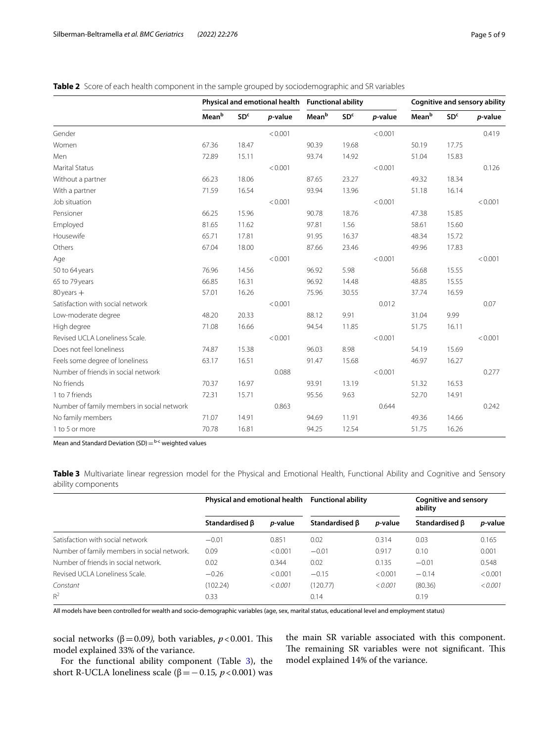<span id="page-4-0"></span>**Table 2** Score of each health component in the sample grouped by sociodemographic and SR variables

|                                            | Physical and emotional health Functional ability |                 |         |       | <b>Cognitive and sensory ability</b> |         |       |                 |         |
|--------------------------------------------|--------------------------------------------------|-----------------|---------|-------|--------------------------------------|---------|-------|-----------------|---------|
|                                            | Meanb                                            | SD <sup>c</sup> | p-value | Meanb | SD <sup>c</sup>                      | p-value | Meanb | SD <sup>c</sup> | p-value |
| Gender                                     |                                                  |                 | < 0.001 |       |                                      | < 0.001 |       |                 | 0.419   |
| Women                                      | 67.36                                            | 18.47           |         | 90.39 | 19.68                                |         | 50.19 | 17.75           |         |
| Men                                        | 72.89                                            | 15.11           |         | 93.74 | 14.92                                |         | 51.04 | 15.83           |         |
| <b>Marital Status</b>                      |                                                  |                 | < 0.001 |       |                                      | < 0.001 |       |                 | 0.126   |
| Without a partner                          | 66.23                                            | 18.06           |         | 87.65 | 23.27                                |         | 49.32 | 18.34           |         |
| With a partner                             | 71.59                                            | 16.54           |         | 93.94 | 13.96                                |         | 51.18 | 16.14           |         |
| Job situation                              |                                                  |                 | < 0.001 |       |                                      | < 0.001 |       |                 | < 0.001 |
| Pensioner                                  | 66.25                                            | 15.96           |         | 90.78 | 18.76                                |         | 47.38 | 15.85           |         |
| Employed                                   | 81.65                                            | 11.62           |         | 97.81 | 1.56                                 |         | 58.61 | 15.60           |         |
| Housewife                                  | 65.71                                            | 17.81           |         | 91.95 | 16.37                                |         | 48.34 | 15.72           |         |
| Others                                     | 67.04                                            | 18.00           |         | 87.66 | 23.46                                |         | 49.96 | 17.83           |         |
| Age                                        |                                                  |                 | < 0.001 |       |                                      | < 0.001 |       |                 | < 0.001 |
| 50 to 64 years                             | 76.96                                            | 14.56           |         | 96.92 | 5.98                                 |         | 56.68 | 15.55           |         |
| 65 to 79 years                             | 66.85                                            | 16.31           |         | 96.92 | 14.48                                |         | 48.85 | 15.55           |         |
| $80$ years $+$                             | 57.01                                            | 16.26           |         | 75.96 | 30.55                                |         | 37.74 | 16.59           |         |
| Satisfaction with social network           |                                                  |                 | < 0.001 |       |                                      | 0.012   |       |                 | 0.07    |
| Low-moderate degree                        | 48.20                                            | 20.33           |         | 88.12 | 9.91                                 |         | 31.04 | 9.99            |         |
| High degree                                | 71.08                                            | 16.66           |         | 94.54 | 11.85                                |         | 51.75 | 16.11           |         |
| Revised UCLA Loneliness Scale.             |                                                  |                 | < 0.001 |       |                                      | < 0.001 |       |                 | < 0.001 |
| Does not feel loneliness                   | 74.87                                            | 15.38           |         | 96.03 | 8.98                                 |         | 54.19 | 15.69           |         |
| Feels some degree of loneliness            | 63.17                                            | 16.51           |         | 91.47 | 15.68                                |         | 46.97 | 16.27           |         |
| Number of friends in social network        |                                                  |                 | 0.088   |       |                                      | < 0.001 |       |                 | 0.277   |
| No friends                                 | 70.37                                            | 16.97           |         | 93.91 | 13.19                                |         | 51.32 | 16.53           |         |
| 1 to 7 friends                             | 72.31                                            | 15.71           |         | 95.56 | 9.63                                 |         | 52.70 | 14.91           |         |
| Number of family members in social network |                                                  |                 | 0.863   |       |                                      | 0.644   |       |                 | 0.242   |
| No family members                          | 71.07                                            | 14.91           |         | 94.69 | 11.91                                |         | 49.36 | 14.66           |         |
| 1 to 5 or more                             | 70.78                                            | 16.81           |         | 94.25 | 12.54                                |         | 51.75 | 16.26           |         |

Mean and Standard Deviation (SD) $=$   $b-c$  weighted values

<span id="page-4-1"></span>**Table 3** Multivariate linear regression model for the Physical and Emotional Health, Functional Ability and Cognitive and Sensory ability components

|                                             | Physical and emotional health |                 | <b>Functional ability</b> |                 | Cognitive and sensory<br>ability |                 |
|---------------------------------------------|-------------------------------|-----------------|---------------------------|-----------------|----------------------------------|-----------------|
|                                             | Standardised <b>B</b>         | <i>p</i> -value | Standardised B            | <i>p</i> -value | Standardised <b>B</b>            | <i>p</i> -value |
| Satisfaction with social network            | $-0.01$                       | 0.851           | 0.02                      | 0.314           | 0.03                             | 0.165           |
| Number of family members in social network. | 0.09                          | < 0.001         | $-0.01$                   | 0.917           | 0.10                             | 0.001           |
| Number of friends in social network.        | 0.02                          | 0.344           | 0.02                      | 0.135           | $-0.01$                          | 0.548           |
| Revised UCLA Loneliness Scale.              | $-0.26$                       | < 0.001         | $-0.15$                   | < 0.001         | $-0.14$                          | < 0.001         |
| Constant                                    | (102.24)                      | < 0.001         | (120.77)                  | < 0.001         | (80.36)                          | < 0.001         |
| $R^2$                                       | 0.33                          |                 | 0.14                      |                 | 0.19                             |                 |

All models have been controlled for wealth and socio-demographic variables (age, sex, marital status, educational level and employment status)

social networks ( $\beta$ =0.09), both variables, *p* <0.001. This model explained 33% of the variance.

For the functional ability component (Table [3\)](#page-4-1), the short R-UCLA loneliness scale (β=−0.15*, p*<0.001) was the main SR variable associated with this component. The remaining SR variables were not significant. This model explained 14% of the variance.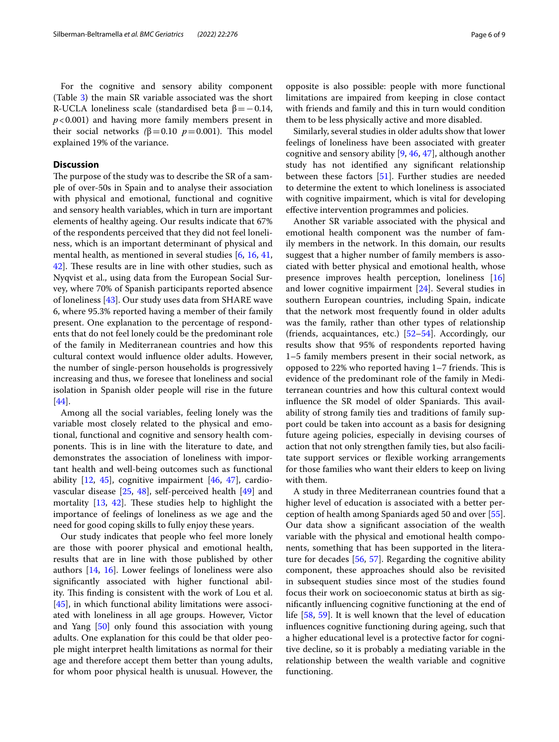For the cognitive and sensory ability component (Table [3\)](#page-4-1) the main SR variable associated was the short R-UCLA loneliness scale (standardised beta  $\beta = -0.14$ , *p*<0.001) and having more family members present in their social networks  $(β=0.10 p=0.001)$ . This model explained 19% of the variance.

# **Discussion**

The purpose of the study was to describe the SR of a sample of over-50s in Spain and to analyse their association with physical and emotional, functional and cognitive and sensory health variables, which in turn are important elements of healthy ageing. Our results indicate that 67% of the respondents perceived that they did not feel loneliness, which is an important determinant of physical and mental health, as mentioned in several studies [[6](#page-7-5), [16](#page-7-13), [41](#page-8-3), [42\]](#page-8-4). These results are in line with other studies, such as Nyqvist et al., using data from the European Social Survey, where 70% of Spanish participants reported absence of loneliness [[43\]](#page-8-5). Our study uses data from SHARE wave 6, where 95.3% reported having a member of their family present. One explanation to the percentage of respondents that do not feel lonely could be the predominant role of the family in Mediterranean countries and how this cultural context would infuence older adults. However, the number of single-person households is progressively increasing and thus, we foresee that loneliness and social isolation in Spanish older people will rise in the future [[44\]](#page-8-6).

Among all the social variables, feeling lonely was the variable most closely related to the physical and emotional, functional and cognitive and sensory health components. This is in line with the literature to date, and demonstrates the association of loneliness with important health and well-being outcomes such as functional ability  $[12, 45]$  $[12, 45]$  $[12, 45]$  $[12, 45]$  $[12, 45]$ , cognitive impairment  $[46, 47]$  $[46, 47]$  $[46, 47]$  $[46, 47]$  $[46, 47]$ , cardiovascular disease [\[25](#page-7-22), [48](#page-8-10)], self-perceived health [[49](#page-8-11)] and mortality  $[13, 42]$  $[13, 42]$  $[13, 42]$  $[13, 42]$  $[13, 42]$ . These studies help to highlight the importance of feelings of loneliness as we age and the need for good coping skills to fully enjoy these years.

Our study indicates that people who feel more lonely are those with poorer physical and emotional health, results that are in line with those published by other authors [[14,](#page-7-12) [16\]](#page-7-13). Lower feelings of loneliness were also signifcantly associated with higher functional ability. This finding is consistent with the work of Lou et al. [[45\]](#page-8-7), in which functional ability limitations were associated with loneliness in all age groups. However, Victor and Yang [\[50](#page-8-12)] only found this association with young adults. One explanation for this could be that older people might interpret health limitations as normal for their age and therefore accept them better than young adults, for whom poor physical health is unusual. However, the

opposite is also possible: people with more functional limitations are impaired from keeping in close contact with friends and family and this in turn would condition them to be less physically active and more disabled.

Similarly, several studies in older adults show that lower feelings of loneliness have been associated with greater cognitive and sensory ability [\[9](#page-7-8), [46,](#page-8-8) [47](#page-8-9)], although another study has not identifed any signifcant relationship between these factors [\[51](#page-8-13)]. Further studies are needed to determine the extent to which loneliness is associated with cognitive impairment, which is vital for developing efective intervention programmes and policies.

Another SR variable associated with the physical and emotional health component was the number of family members in the network. In this domain, our results suggest that a higher number of family members is associated with better physical and emotional health, whose presence improves health perception, loneliness [[16](#page-7-13)] and lower cognitive impairment [\[24](#page-7-21)]. Several studies in southern European countries, including Spain, indicate that the network most frequently found in older adults was the family, rather than other types of relationship (friends, acquaintances, etc.) [\[52](#page-8-14)[–54\]](#page-8-15). Accordingly, our results show that 95% of respondents reported having 1–5 family members present in their social network, as opposed to  $22\%$  who reported having  $1-7$  friends. This is evidence of the predominant role of the family in Mediterranean countries and how this cultural context would influence the SR model of older Spaniards. This availability of strong family ties and traditions of family support could be taken into account as a basis for designing future ageing policies, especially in devising courses of action that not only strengthen family ties, but also facilitate support services or fexible working arrangements for those families who want their elders to keep on living with them.

A study in three Mediterranean countries found that a higher level of education is associated with a better perception of health among Spaniards aged 50 and over [\[55](#page-8-16)]. Our data show a signifcant association of the wealth variable with the physical and emotional health components, something that has been supported in the literature for decades [\[56](#page-8-17), [57](#page-8-18)]. Regarding the cognitive ability component, these approaches should also be revisited in subsequent studies since most of the studies found focus their work on socioeconomic status at birth as signifcantly infuencing cognitive functioning at the end of life [[58,](#page-8-19) [59](#page-8-20)]. It is well known that the level of education infuences cognitive functioning during ageing, such that a higher educational level is a protective factor for cognitive decline, so it is probably a mediating variable in the relationship between the wealth variable and cognitive functioning.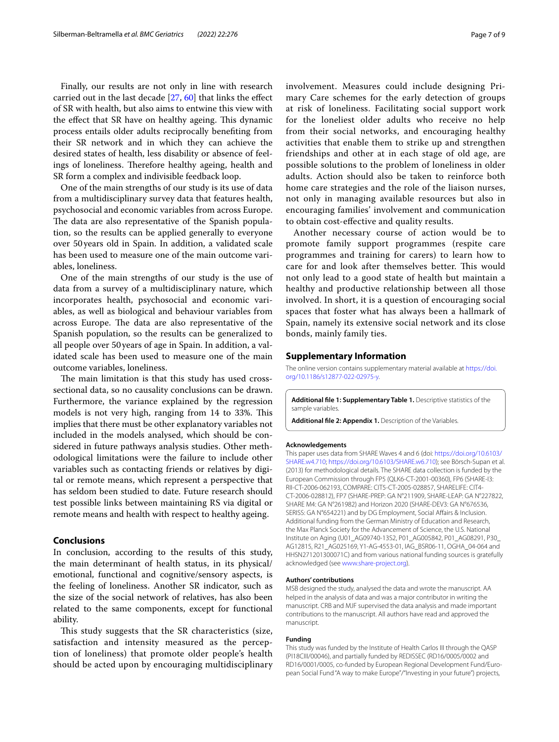Finally, our results are not only in line with research carried out in the last decade [[27,](#page-7-24) [60](#page-8-21)] that links the efect of SR with health, but also aims to entwine this view with the effect that SR have on healthy ageing. This dynamic process entails older adults reciprocally benefting from their SR network and in which they can achieve the desired states of health, less disability or absence of feelings of loneliness. Therefore healthy ageing, health and SR form a complex and indivisible feedback loop.

One of the main strengths of our study is its use of data from a multidisciplinary survey data that features health, psychosocial and economic variables from across Europe. The data are also representative of the Spanish population, so the results can be applied generally to everyone over 50years old in Spain. In addition, a validated scale has been used to measure one of the main outcome variables, loneliness.

One of the main strengths of our study is the use of data from a survey of a multidisciplinary nature, which incorporates health, psychosocial and economic variables, as well as biological and behaviour variables from across Europe. The data are also representative of the Spanish population, so the results can be generalized to all people over 50years of age in Spain. In addition, a validated scale has been used to measure one of the main outcome variables, loneliness.

The main limitation is that this study has used crosssectional data, so no causality conclusions can be drawn. Furthermore, the variance explained by the regression models is not very high, ranging from 14 to 33%. This implies that there must be other explanatory variables not included in the models analysed, which should be considered in future pathways analysis studies. Other methodological limitations were the failure to include other variables such as contacting friends or relatives by digital or remote means, which represent a perspective that has seldom been studied to date. Future research should test possible links between maintaining RS via digital or remote means and health with respect to healthy ageing.

# **Conclusions**

In conclusion, according to the results of this study, the main determinant of health status, in its physical/ emotional, functional and cognitive/sensory aspects, is the feeling of loneliness. Another SR indicator, such as the size of the social network of relatives, has also been related to the same components, except for functional ability.

This study suggests that the SR characteristics (size, satisfaction and intensity measured as the perception of loneliness) that promote older people's health should be acted upon by encouraging multidisciplinary involvement. Measures could include designing Primary Care schemes for the early detection of groups at risk of loneliness. Facilitating social support work for the loneliest older adults who receive no help from their social networks, and encouraging healthy activities that enable them to strike up and strengthen friendships and other at in each stage of old age, are possible solutions to the problem of loneliness in older adults. Action should also be taken to reinforce both home care strategies and the role of the liaison nurses, not only in managing available resources but also in encouraging families' involvement and communication to obtain cost-efective and quality results.

Another necessary course of action would be to promote family support programmes (respite care programmes and training for carers) to learn how to care for and look after themselves better. This would not only lead to a good state of health but maintain a healthy and productive relationship between all those involved. In short, it is a question of encouraging social spaces that foster what has always been a hallmark of Spain, namely its extensive social network and its close bonds, mainly family ties.

## **Supplementary Information**

The online version contains supplementary material available at [https://doi.](https://doi.org/10.1186/s12877-022-02975-y) [org/10.1186/s12877-022-02975-y.](https://doi.org/10.1186/s12877-022-02975-y)

<span id="page-6-0"></span>**Additional fle 1: Supplementary Table 1.** Descriptive statistics of the sample variables.

**Additional fle 2: Appendix 1.** Description of the Variables.

#### **Acknowledgements**

This paper uses data from SHARE Waves 4 and 6 (doi: [https://doi.org/10.6103/](https://doi.org/10.6103/SHARE.w4.710) [SHARE.w4.710](https://doi.org/10.6103/SHARE.w4.710); [https://doi.org/10.6103/SHARE.w6.710\)](https://doi.org/10.6103/SHARE.w6.710); see Börsch-Supan et al. (2013) for methodological details. The SHARE data collection is funded by the European Commission through FP5 (QLK6-CT-2001-00360), FP6 (SHARE-I3: RII-CT-2006-062193, COMPARE: CIT5-CT-2005-028857, SHARELIFE: CIT4-CT-2006-028812), FP7 (SHARE-PREP: GA N°211909, SHARE-LEAP: GA N°227822, SHARE M4: GA N°261982) and Horizon 2020 (SHARE-DEV3: GA N°676536, SERISS: GA N°654221) and by DG Employment, Social Affairs & Inclusion. Additional funding from the German Ministry of Education and Research, the Max Planck Society for the Advancement of Science, the U.S. National Institute on Aging (U01\_AG09740-13S2, P01\_AG005842, P01\_AG08291, P30\_ AG12815, R21\_AG025169, Y1-AG-4553-01, IAG\_BSR06-11, OGHA\_04-064 and HHSN271201300071C) and from various national funding sources is gratefully acknowledged (see [www.share-project.org](http://www.share-project.org)).

#### **Authors' contributions**

MSB designed the study, analysed the data and wrote the manuscript. AA helped in the analysis of data and was a major contributor in writing the manuscript. CRB and MJF supervised the data analysis and made important contributions to the manuscript. All authors have read and approved the manuscript.

#### **Funding**

This study was funded by the Institute of Health Carlos III through the QASP (PI18CIII/00046), and partially funded by REDISSEC (RD16/0005/0002 and RD16/0001/0005, co-funded by European Regional Development Fund/European Social Fund "A way to make Europe"/"Investing in your future") projects,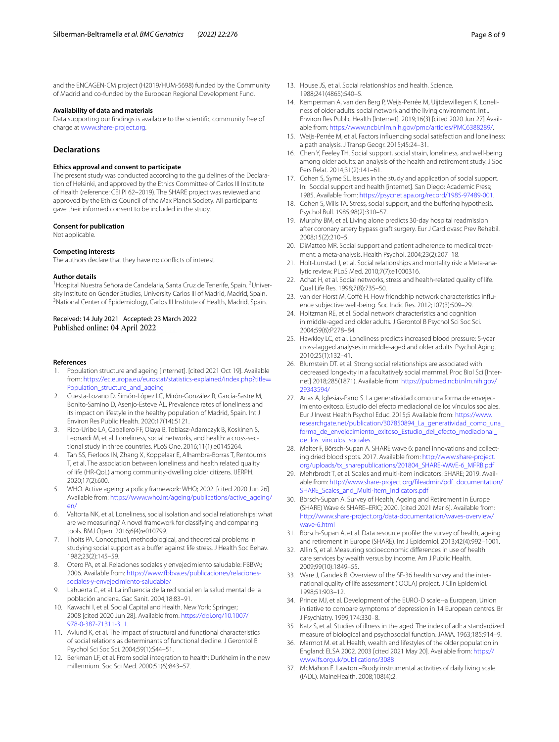and the ENCAGEN-CM project (H2019/HUM-5698) funded by the Community of Madrid and co-funded by the European Regional Development Fund.

# **Availability of data and materials**

Data supporting our fndings is available to the scientifc community free of charge at [www.share-project.org.](http://www.share-project.org)

# **Declarations**

#### **Ethics approval and consent to participate**

The present study was conducted according to the quidelines of the Declaration of Helsinki, and approved by the Ethics Committee of Carlos III Institute of Health (reference: CEI PI 62–2019). The SHARE project was reviewed and approved by the Ethics Council of the Max Planck Society. All participants gave their informed consent to be included in the study.

## **Consent for publication**

Not applicable.

#### **Competing interests**

The authors declare that they have no conficts of interest.

#### **Author details**

<sup>1</sup> Hospital Nuestra Señora de Candelaria, Santa Cruz de Tenerife, Spain. <sup>2</sup> University Institute on Gender Studies, University Carlos III of Madrid, Madrid, Spain. <sup>3</sup> National Center of Epidemiology, Carlos III Institute of Health, Madrid, Spain.

# Received: 14 July 2021 Accepted: 23 March 2022 Published online: 04 April 2022

#### **References**

- <span id="page-7-0"></span>1. Population structure and ageing [Internet]. [cited 2021 Oct 19]. Available from: [https://ec.europa.eu/eurostat/statistics-explained/index.php?title](https://ec.europa.eu/eurostat/statistics-explained/index.php?title=Population_structure_and_ageing)= [Population\\_structure\\_and\\_ageing](https://ec.europa.eu/eurostat/statistics-explained/index.php?title=Population_structure_and_ageing)
- <span id="page-7-1"></span>2. Cuesta-Lozano D, Simón-López LC, Mirón-González R, García-Sastre M, Bonito-Samino D, Asenjo-Esteve ÁL. Prevalence rates of loneliness and its impact on lifestyle in the healthy population of Madrid, Spain. Int J Environ Res Public Health. 2020;17(14):5121.
- <span id="page-7-2"></span>3. Rico-Uribe LA, Caballero FF, Olaya B, Tobiasz-Adamczyk B, Koskinen S, Leonardi M, et al. Loneliness, social networks, and health: a cross-sectional study in three countries. PLoS One. 2016;11(1):e0145264.
- <span id="page-7-3"></span>Tan SS, Fierloos IN, Zhang X, Koppelaar E, Alhambra-Borras T, Rentoumis T, et al. The association between loneliness and health related quality of life (HR-QoL) among community-dwelling older citizens. IJERPH. 2020;17(2):600.
- <span id="page-7-4"></span>5. WHO. Active ageing: a policy framework: WHO; 2002. [cited 2020 Jun 26]. Available from: [https://www.who.int/ageing/publications/active\\_ageing/](https://www.who.int/ageing/publications/active_ageing/en/) [en/](https://www.who.int/ageing/publications/active_ageing/en/)
- <span id="page-7-5"></span>6. Valtorta NK, et al. Loneliness, social isolation and social relationships: what are we measuring? A novel framework for classifying and comparing tools. BMJ Open. 2016;6(4):e010799.
- <span id="page-7-6"></span>7. Thoits PA. Conceptual, methodological, and theoretical problems in studying social support as a buffer against life stress. J Health Soc Behav. 1982;23(2):145–59.
- <span id="page-7-7"></span>8. Otero PA, et al. Relaciones sociales y envejecimiento saludable: FBBVA; 2006. Available from: [https://www.fbbva.es/publicaciones/relaciones](https://www.fbbva.es/publicaciones/relaciones-sociales-y-envejecimiento-saludable/) [sociales-y-envejecimiento-saludable/](https://www.fbbva.es/publicaciones/relaciones-sociales-y-envejecimiento-saludable/)
- <span id="page-7-8"></span>9. Lahuerta C, et al. La infuencia de la red social en la salud mental de la población anciana. Gac Sanit. 2004;18:83–91.
- <span id="page-7-9"></span>10. Kawachi I, et al. Social Capital and Health. New York: Springer; 2008 [cited 2020 Jun 28]. Available from. [https://doi.org/10.1007/](https://doi.org/10.1007/978-0-387-71311-3_1) [978-0-387-71311-3\\_1.](https://doi.org/10.1007/978-0-387-71311-3_1)
- 11. Avlund K, et al. The impact of structural and functional characteristics of social relations as determinants of functional decline. J Gerontol B Psychol Sci Soc Sci. 2004;59(1):S44–51.
- <span id="page-7-10"></span>12. Berkman LF, et al. From social integration to health: Durkheim in the new millennium. Soc Sci Med. 2000;51(6):843–57.
- <span id="page-7-11"></span>13. House JS, et al. Social relationships and health. Science. 1988;241(4865):540–5.
- <span id="page-7-12"></span>14. Kemperman A, van den Berg P, Weijs-Perrée M, Uijtdewillegen K. Loneliness of older adults: social network and the living environment. Int J Environ Res Public Health [Internet]. 2019;16(3) [cited 2020 Jun 27] Avail‑ able from:<https://www.ncbi.nlm.nih.gov/pmc/articles/PMC6388289/>.
- 15. Weijs-Perrée M, et al. Factors infuencing social satisfaction and loneliness: a path analysis. J Transp Geogr. 2015;45:24–31.
- <span id="page-7-13"></span>16. Chen Y, Feeley TH. Social support, social strain, loneliness, and well-being among older adults: an analysis of the health and retirement study. J Soc Pers Relat. 2014;31(2):141–61.
- <span id="page-7-14"></span>17. Cohen S, Syme SL. Issues in the study and application of social support. In: Soccial support and health [internet]. San Diego: Academic Press; 1985. Available from: [https://psycnet.apa.org/record/1985-97489-001.](https://psycnet.apa.org/record/1985-97489-001)
- <span id="page-7-15"></span>18. Cohen S, Wills TA. Stress, social support, and the buffering hypothesis. Psychol Bull. 1985;98(2):310–57.
- <span id="page-7-16"></span>19. Murphy BM, et al. Living alone predicts 30-day hospital readmission after coronary artery bypass graft surgery. Eur J Cardiovasc Prev Rehabil. 2008;15(2):210–5.
- <span id="page-7-17"></span>20. DiMatteo MR. Social support and patient adherence to medical treatment: a meta-analysis. Health Psychol. 2004;23(2):207–18.
- <span id="page-7-18"></span>21. Holt-Lunstad J, et al. Social relationships and mortality risk: a Meta-analytic review. PLoS Med. 2010;7(7):e1000316.
- <span id="page-7-19"></span>22. Achat H, et al. Social networks, stress and health-related quality of life. Qual Life Res. 1998;7(8):735–50.
- <span id="page-7-20"></span>23. van der Horst M, Coffé H. How friendship network characteristics influence subjective well-being. Soc Indic Res. 2012;107(3):509–29.
- <span id="page-7-21"></span>24. Holtzman RE, et al. Social network characteristics and cognition in middle-aged and older adults. J Gerontol B Psychol Sci Soc Sci. 2004;59(6):P278–84.
- <span id="page-7-22"></span>25. Hawkley LC, et al. Loneliness predicts increased blood pressure: 5-year cross-lagged analyses in middle-aged and older adults. Psychol Aging. 2010;25(1):132–41.
- <span id="page-7-23"></span>26. Blumstein DT. et al. Strong social relationships are associated with decreased longevity in a facultatively social mammal. Proc Biol Sci [Internet] 2018;285(1871). Available from: [https://pubmed.ncbi.nlm.nih.gov/](https://pubmed.ncbi.nlm.nih.gov/29343594/) [29343594/](https://pubmed.ncbi.nlm.nih.gov/29343594/)
- <span id="page-7-24"></span>27. Arias A, Iglesias-Parro S. La generatividad como una forma de envejecimiento exitoso. Estudio del efecto mediacional de los vínculos sociales. Eur J Invest Health Psychol Educ. 2015;5 Available from: [https://www.](https://www.researchgate.net/publication/307850894_La_generatividad_como_una_forma_de_envejecimiento_exitoso_Estudio_del_efecto_mediacional_de_los_vinculos_sociales) [researchgate.net/publication/307850894\\_La\\_generatividad\\_como\\_una\\_](https://www.researchgate.net/publication/307850894_La_generatividad_como_una_forma_de_envejecimiento_exitoso_Estudio_del_efecto_mediacional_de_los_vinculos_sociales) [forma\\_de\\_envejecimiento\\_exitoso\\_Estudio\\_del\\_efecto\\_mediacional\\_](https://www.researchgate.net/publication/307850894_La_generatividad_como_una_forma_de_envejecimiento_exitoso_Estudio_del_efecto_mediacional_de_los_vinculos_sociales) [de\\_los\\_vinculos\\_sociales.](https://www.researchgate.net/publication/307850894_La_generatividad_como_una_forma_de_envejecimiento_exitoso_Estudio_del_efecto_mediacional_de_los_vinculos_sociales)
- <span id="page-7-25"></span>28. Malter F, Börsch-Supan A. SHARE wave 6: panel innovations and collecting dried blood spots. 2017. Available from: [http://www.share-project.](http://www.share-project.org/uploads/tx_sharepublications/201804_SHARE-WAVE-6_MFRB.pdf) [org/uploads/tx\\_sharepublications/201804\\_SHARE-WAVE-6\\_MFRB.pdf](http://www.share-project.org/uploads/tx_sharepublications/201804_SHARE-WAVE-6_MFRB.pdf)
- <span id="page-7-31"></span>29. Mehrbrodt T, et al. Scales and multi-item indicators: SHARE; 2019. Available from: [http://www.share-project.org/fleadmin/pdf\\_documentation/](http://www.share-project.org/fileadmin/pdf_documentation/SHARE_Scales_and_Multi-Item_Indicators.pdf) [SHARE\\_Scales\\_and\\_Multi-Item\\_Indicators.pdf](http://www.share-project.org/fileadmin/pdf_documentation/SHARE_Scales_and_Multi-Item_Indicators.pdf)
- <span id="page-7-26"></span>30. Börsch-Supan A. Survey of Health, Ageing and Retirement in Europe (SHARE) Wave 6: SHARE–ERIC; 2020. [cited 2021 Mar 6]. Available from: [http://www.share-project.org/data-documentation/waves-overview/](http://www.share-project.org/data-documentation/waves-overview/wave-6.html) [wave-6.html](http://www.share-project.org/data-documentation/waves-overview/wave-6.html)
- <span id="page-7-27"></span>31. Börsch-Supan A, et al. Data resource profle: the survey of health, ageing and retirement in Europe (SHARE). Int J Epidemiol. 2013;42(4):992–1001.
- <span id="page-7-28"></span>32. Allin S, et al. Measuring socioeconomic diferences in use of health care services by wealth versus by income. Am J Public Health. 2009;99(10):1849–55.
- <span id="page-7-29"></span>33. Ware J, Gandek B. Overview of the SF-36 health survey and the international quality of life assessment (IQOLA) project. J Clin Epidemiol. 1998;51:903–12.
- <span id="page-7-30"></span>34. Prince MJ, et al. Development of the EURO-D scale--a European, Union initiative to compare symptoms of depression in 14 European centres. Br J Psychiatry. 1999;174:330–8.
- <span id="page-7-32"></span>35. Katz S, et al. Studies of illness in the aged. The index of adl: a standardized measure of biological and psychosocial function. JAMA. 1963;185:914–9.
- <span id="page-7-33"></span>36. Marmot M. et al. Health, wealth and lifestyles of the older population in England: ELSA 2002. 2003 [cited 2021 May 20]. Available from: [https://](https://www.ifs.org.uk/publications/3088) [www.ifs.org.uk/publications/3088](https://www.ifs.org.uk/publications/3088)
- <span id="page-7-34"></span>37. McMahon E. Lawton –Brody instrumental activities of daily living scale (IADL). MaineHealth. 2008;108(4):2.